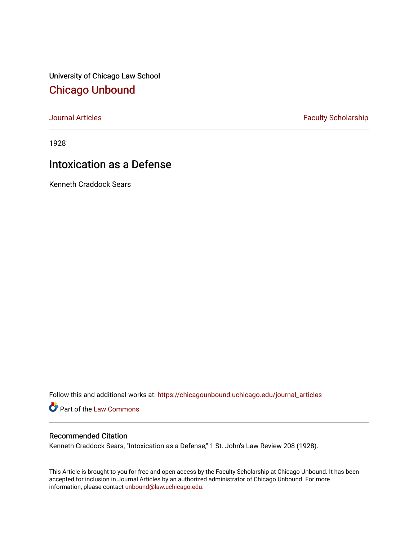University of Chicago Law School [Chicago Unbound](https://chicagounbound.uchicago.edu/)

[Journal Articles](https://chicagounbound.uchicago.edu/journal_articles) **Faculty Scholarship Faculty Scholarship** 

1928

## Intoxication as a Defense

Kenneth Craddock Sears

Follow this and additional works at: [https://chicagounbound.uchicago.edu/journal\\_articles](https://chicagounbound.uchicago.edu/journal_articles?utm_source=chicagounbound.uchicago.edu%2Fjournal_articles%2F9178&utm_medium=PDF&utm_campaign=PDFCoverPages) 

Part of the [Law Commons](http://network.bepress.com/hgg/discipline/578?utm_source=chicagounbound.uchicago.edu%2Fjournal_articles%2F9178&utm_medium=PDF&utm_campaign=PDFCoverPages)

## Recommended Citation

Kenneth Craddock Sears, "Intoxication as a Defense," 1 St. John's Law Review 208 (1928).

This Article is brought to you for free and open access by the Faculty Scholarship at Chicago Unbound. It has been accepted for inclusion in Journal Articles by an authorized administrator of Chicago Unbound. For more information, please contact [unbound@law.uchicago.edu](mailto:unbound@law.uchicago.edu).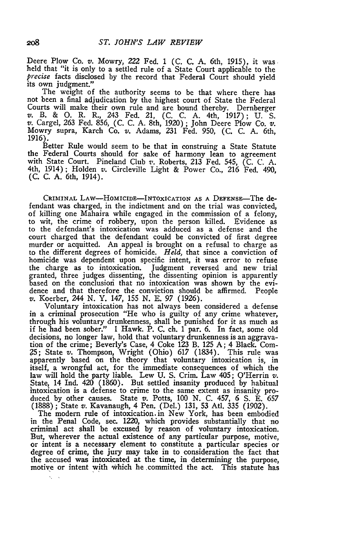Deere Plow Co. v. Mowry, 222 Fed. 1 (C. C. A. 6th, 1915), it was. held that "it is only to a settled rule of a State Court applicable to the *precise* facts disclosed by the record that Federal Court should yield its own judgment."

The weight of the authority seems to be that where there has not been a final adjudication by the highest court of State the Federal Courts will make their own rule and are bound thereby. Dernberger v. B. & **0.** R. R., 243 Fed. 21, (C. C. A. 4th, 1917); U. S. v. Cargel, 263 Fed. 856, (C. C. A. 8th, 1920) ; John Deere Plow Co. *v.* Mowry supra, Karch Co. v. Adams, 231 Fed. 950, (C. C. A. 6th, 1916).

Better Rule would seem to be that in construing a State Statute the Federal Courts should for sake of harmony lean to agreemen with State Court. Pineland Club *v.* Roberts, 213 Fed. 545, (C. C. A. 4th, 1914); Holden *v.* Circleville Light & Power Co., 216 Fed. 490, (C. C. A. 6th, 1914).

CRIMINAL LAW-HOMICIDE-INTOXICATION AS A DEFENSE-The defendant was charged, in the indictment and on the trial was convicted, of killing one Mahaira while engaged in the commission of a felony, to wit, the crime of robbery, upon the person killed. Evidence as to the defendant's intoxication was adduced as a defense and the court charged that the defendant could be convicted of first degree murder or acquitted. An appeal is brought on a refusal to charge as to the different degrees of homicide. Held, that since a conviction of homicide was dependent upon specific intent, it was error to refuse the charge as to intoxication. Judgment reversed and new trial granted, three judges dissenting, the dissenting opinion is apparently based on the conclusiori that no intoxication was shown by the evidence and that therefore the conviction should be affirmed. People v. Koerber, 244 N. Y. 147, 155 N. E. 97 (1926).

Voluntary intoxication has not always been considered a defense in a criminal prosecution "He who is guilty of any crime whatever, through his voluntary drunkenness, shall be punished for it as much as if he had been sober." 1 Hawk. P. C. ch. 1 par. 6. In fact, some old decisions, no longer law, hold that voluntary drunkenness is an aggravation of the crime; Beverly's Case, 4 Coke 123 B. 125 A; 4 Black. Com- **?5;** State *v.* Thompson, Wright (Ohio) 617 (1834). This rule was apparently based on the theory that voluntary intoxication is, in itself, a wrongful act, for the immediate consequences of which the law will hold the party liable. Lew U. S. Crim. Law 405; O'Herrin *v.* State, 14 Ind. 420 (1860). But settled insanity produced **by** habitual intoxication is a defense to crime to the same extent as insanity produced by other causes. State v. Potts, 100 N. C. 457, **6 S.** E. 657 (1888); State *v.* Kavanaugh, 4 Pen. (Del.) 131, 53 Atl. 335 (1902).

The modem rule of intoxication, in New York, has been embodied in the Penal Code, sec. 1220, which provides substantially that no criminal act shall be excused by reason of voluntary intoxication. But, wherever the actual existence of any particular purpose, motive, or intent is a necessary element to constitute a particular species or degree of crime, the jury may take in to consideration the fact that the accused was intoxicated at the time, in determining the purpose, motive or intent with which he .committed the act. This statute has

K. L